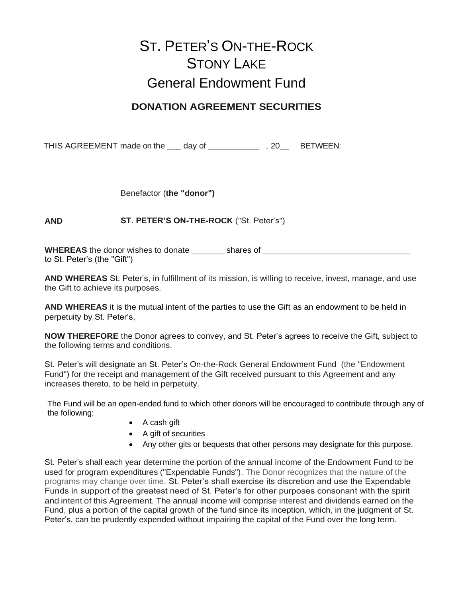## ST. PETER'S ON-THE-ROCK STONY LAKE General Endowment Fund

## **DONATION AGREEMENT SECURITIES**

THIS AGREEMENT made on the \_\_\_ day of \_\_\_\_\_\_\_\_\_\_\_\_\_\_\_, 20\_\_\_ BETWEEN:

Benefactor (**the "donor")**

**AND ST. PETER'S ON-THE-ROCK** ("St. Peter's")

**WHEREAS** the donor wishes to donate \_\_\_\_\_\_\_\_ shares of \_\_\_\_\_\_\_\_\_\_\_\_\_\_\_\_\_\_\_\_\_\_\_\_\_ to St. Peter's (the "Gift")

**AND WHEREAS** St. Peter's, in fulfillment of its mission, is willing to receive, invest, manage, and use the Gift to achieve its purposes,

**AND WHEREAS** it is the mutual intent of the parties to use the Gift as an endowment to be held in perpetuity by St. Peter's,

**NOW THEREFORE** the Donor agrees to convey, and St. Peter's agrees to receive the Gift, subject to the following terms and conditions.

St. Peter's will designate an St. Peter's On-the-Rock General Endowment Fund (the "Endowment Fund") for the receipt and management of the Gift received pursuant to this Agreement and any increases thereto, to be held in perpetuity.

The Fund will be an open-ended fund to which other donors will be encouraged to contribute through any of the following:

- A cash gift
- A gift of securities
- Any other gits or bequests that other persons may designate for this purpose.

St. Peter's shall each year determine the portion of the annual income of the Endowment Fund to be used for program expenditures ("Expendable Funds"). The Donor recognizes that the nature of the programs may change over time. St. Peter's shall exercise its discretion and use the Expendable Funds in support of the greatest need of St. Peter's for other purposes consonant with the spirit and intent of this Agreement. The annual income will comprise interest and dividends earned on the Fund, plus a portion of the capital growth of the fund since its inception, which, in the judgment of St. Peter's, can be prudently expended without impairing the capital of the Fund over the long term.